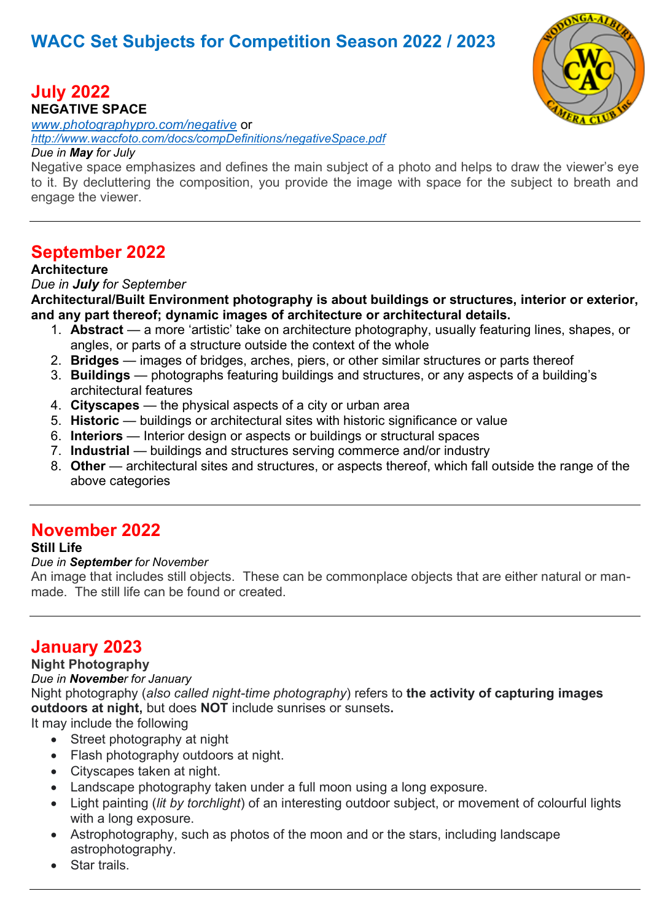# **WACC Set Subjects for Competition Season 2022 / 2023**



# **July 2022**

**NEGATIVE SPACE** 

*[www.photographypro.com/negative](http://www.photographypro.com/negative)* or *[http://www.waccfoto.com/docs/compDefinitions/negativeSpace.pdf](http://www.waccfoto.com/docs/compDefinitions/natureRequirements.pdf)*

#### *Due in May for July*

Negative space emphasizes and defines the main subject of a photo and helps to draw the viewer's eye to it. By decluttering the composition, you provide the image with space for the subject to breath and engage the viewer.

## **September 2022**

#### **Architecture**

#### *Due in July for September*

**Architectural/Built Environment photography is about buildings or structures, interior or exterior, and any part thereof; dynamic images of architecture or architectural details.**

- 1. **Abstract** a more 'artistic' take on architecture photography, usually featuring lines, shapes, or angles, or parts of a structure outside the context of the whole
- 2. **Bridges** images of bridges, arches, piers, or other similar structures or parts thereof
- 3. **Buildings** photographs featuring buildings and structures, or any aspects of a building's architectural features
- 4. **Cityscapes** the physical aspects of a city or urban area
- 5. **Historic** buildings or architectural sites with historic significance or value
- 6. **Interiors** Interior design or aspects or buildings or structural spaces
- 7. **Industrial** buildings and structures serving commerce and/or industry
- 8. **Other** architectural sites and structures, or aspects thereof, which fall outside the range of the above categories

### **November 2022**

#### **Still Life**

#### *Due in September for November*

An image that includes still objects. These can be commonplace objects that are either natural or manmade. The still life can be found or created.

## **January 2023**

#### **Night Photography**

#### *Due in November for January*

Night photography (*also called night-time photography*) refers to **the activity of capturing images outdoors at night,** but does **NOT** include sunrises or sunsets**.**

It may include the following

- Street photography at night
- Flash photography outdoors at night.
- Cityscapes taken at night.
- Landscape photography taken under a full moon using a long exposure.
- Light painting (*lit by torchlight*) of an interesting outdoor subject, or movement of colourful lights with a long exposure.
- Astrophotography, such as photos of the moon and or the stars, including landscape astrophotography.
- Star trails.